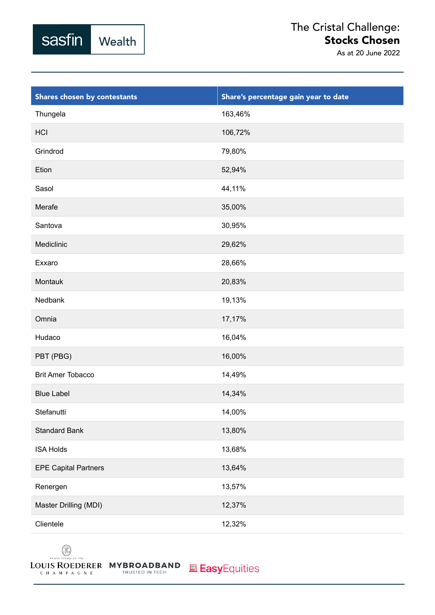

## The Cristal Challenge: Stocks Chosen

As at 20 June 2022

| Shares chosen by contestants | Share's percentage gain year to date |
|------------------------------|--------------------------------------|
| Thungela                     | 163,46%                              |
| HCI                          | 106,72%                              |
| Grindrod                     | 79,80%                               |
| Etion                        | 52,94%                               |
| Sasol                        | 44,11%                               |
| Merafe                       | 35,00%                               |
| Santova                      | 30,95%                               |
| Mediclinic                   | 29,62%                               |
| Exxaro                       | 28,66%                               |
| Montauk                      | 20,83%                               |
| Nedbank                      | 19,13%                               |
| Omnia                        | 17,17%                               |
| Hudaco                       | 16,04%                               |
| PBT (PBG)                    | 16,00%                               |
| <b>Brit Amer Tobacco</b>     | 14,49%                               |
| <b>Blue Label</b>            | 14,34%                               |
| Stefanutti                   | 14,00%                               |
| <b>Standard Bank</b>         | 13,80%                               |
| <b>ISA Holds</b>             | 13,68%                               |
| <b>EPE Capital Partners</b>  | 13,64%                               |
| Renergen                     | 13,57%                               |
| Master Drilling (MDI)        | 12,37%                               |
| Clientele                    | 12,32%                               |

 $\circledR$ MAISON FO NDEE EN

CHAMPAGNE

LOUIS ROEDERER MYBROADBAND TRUSTED IN TECH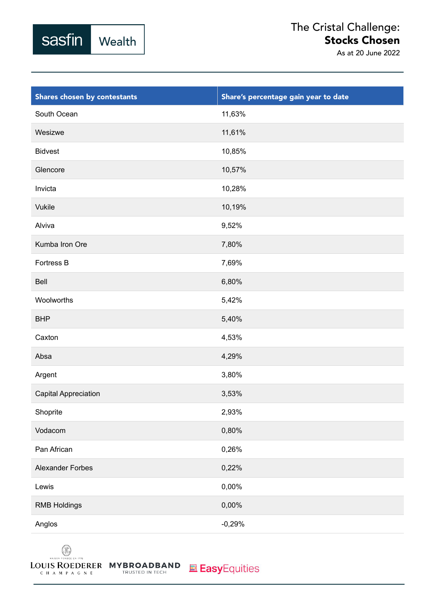

## The Cristal Challenge: Stocks Chosen

As at 20 June 2022

| Shares chosen by contestants | Share's percentage gain year to date |
|------------------------------|--------------------------------------|
| South Ocean                  | 11,63%                               |
| Wesizwe                      | 11,61%                               |
| <b>Bidvest</b>               | 10,85%                               |
| Glencore                     | 10,57%                               |
| Invicta                      | 10,28%                               |
| <b>Vukile</b>                | 10,19%                               |
| Alviva                       | 9,52%                                |
| Kumba Iron Ore               | 7,80%                                |
| Fortress B                   | 7,69%                                |
| Bell                         | 6,80%                                |
| Woolworths                   | 5,42%                                |
| <b>BHP</b>                   | 5,40%                                |
| Caxton                       | 4,53%                                |
| Absa                         | 4,29%                                |
| Argent                       | 3,80%                                |
| Capital Appreciation         | 3,53%                                |
| Shoprite                     | 2,93%                                |
| Vodacom                      | $0,80\%$                             |
| Pan African                  | 0,26%                                |
| <b>Alexander Forbes</b>      | 0,22%                                |
| Lewis                        | 0,00%                                |
| <b>RMB Holdings</b>          | 0,00%                                |
| Anglos                       | $-0,29%$                             |

 $\circledR$ MAISON FO NDEE EN CHAMPAGNE

LOUIS ROEDERER MYBROADBAND TRUSTED IN TECH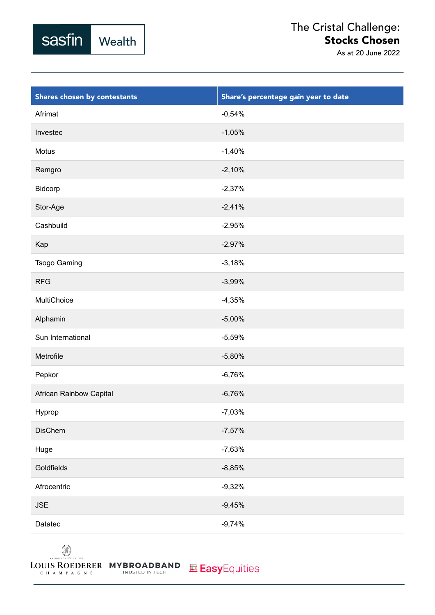

| Shares chosen by contestants | Share's percentage gain year to date |
|------------------------------|--------------------------------------|
| Afrimat                      | $-0,54%$                             |
| Investec                     | $-1,05%$                             |
| Motus                        | $-1,40%$                             |
| Remgro                       | $-2,10%$                             |
| Bidcorp                      | $-2,37%$                             |
| Stor-Age                     | $-2,41%$                             |
| Cashbuild                    | $-2,95%$                             |
| Kap                          | $-2,97%$                             |
| <b>Tsogo Gaming</b>          | $-3,18%$                             |
| <b>RFG</b>                   | $-3,99%$                             |
| MultiChoice                  | $-4,35%$                             |
| Alphamin                     | $-5,00%$                             |
| Sun International            | $-5,59%$                             |
| Metrofile                    | $-5,80%$                             |
| Pepkor                       | $-6,76%$                             |
| African Rainbow Capital      | $-6,76%$                             |
| Hyprop                       | $-7,03%$                             |
| <b>DisChem</b>               | $-7,57%$                             |
| Huge                         | $-7,63%$                             |
| Goldfields                   | $-8,85%$                             |
| Afrocentric                  | $-9,32%$                             |
| <b>JSE</b>                   | $-9,45%$                             |
| Datatec                      | $-9,74%$                             |

 $\circledR$ MAISON FONDÉE EN IT

CHAMPAGNE

sasfin

Wealth

LOUIS ROEDERER MYBROADBAND TRUSTED IN TECH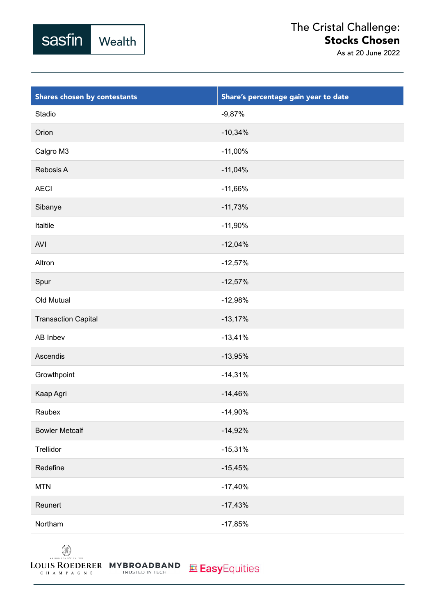

| Shares chosen by contestants | Share's percentage gain year to date |
|------------------------------|--------------------------------------|
| Stadio                       | $-9,87%$                             |
| Orion                        | $-10,34%$                            |
| Calgro M3                    | $-11,00\%$                           |
| Rebosis A                    | $-11,04%$                            |
| <b>AECI</b>                  | $-11,66%$                            |
| Sibanye                      | $-11,73%$                            |
| Italtile                     | $-11,90%$                            |
| AVI                          | $-12,04%$                            |
| Altron                       | $-12,57%$                            |
| Spur                         | $-12,57%$                            |
| Old Mutual                   | $-12,98%$                            |
| <b>Transaction Capital</b>   | $-13,17%$                            |
| AB Inbev                     | $-13,41%$                            |
| Ascendis                     | $-13,95%$                            |
| Growthpoint                  | $-14,31%$                            |
| Kaap Agri                    | $-14,46%$                            |
| Raubex                       | $-14,90%$                            |
| <b>Bowler Metcalf</b>        | $-14,92%$                            |
| Trellidor                    | $-15,31%$                            |
| Redefine                     | $-15,45%$                            |
| <b>MTN</b>                   | $-17,40%$                            |
| Reunert                      | $-17,43%$                            |
| Northam                      | $-17,85%$                            |

 $\circledR$ MAISON FONDÉE EN IT

CHAMPAGNE

sasfin

Wealth

LOUIS ROEDERER MYBROADBAND TRUSTED IN TECH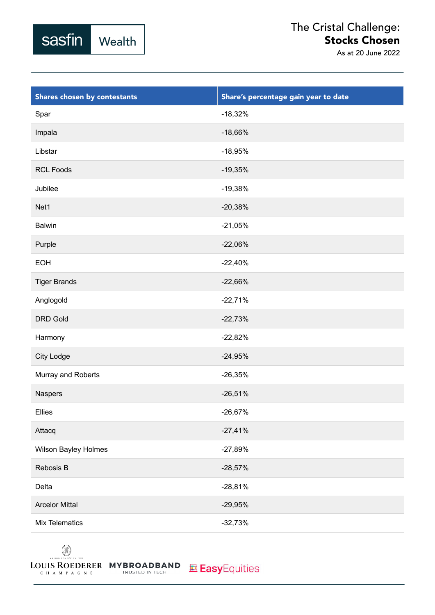

| Shares chosen by contestants | Share's percentage gain year to date |
|------------------------------|--------------------------------------|
| Spar                         | $-18,32%$                            |
| Impala                       | $-18,66%$                            |
| Libstar                      | $-18,95%$                            |
| <b>RCL Foods</b>             | $-19,35%$                            |
| Jubilee                      | $-19,38%$                            |
| Net1                         | $-20,38%$                            |
| <b>Balwin</b>                | $-21,05%$                            |
| Purple                       | $-22,06%$                            |
| <b>EOH</b>                   | $-22,40%$                            |
| <b>Tiger Brands</b>          | $-22,66%$                            |
| Anglogold                    | $-22,71%$                            |
| <b>DRD Gold</b>              | $-22,73%$                            |
| Harmony                      | $-22,82%$                            |
| City Lodge                   | $-24,95%$                            |
| Murray and Roberts           | $-26,35%$                            |
| Naspers                      | $-26,51%$                            |
| Ellies                       | $-26,67%$                            |
| Attacq                       | $-27,41%$                            |
| Wilson Bayley Holmes         | $-27,89%$                            |
| Rebosis B                    | $-28,57%$                            |
| Delta                        | $-28,81%$                            |
| <b>Arcelor Mittal</b>        | $-29,95%$                            |
| Mix Telematics               | $-32,73%$                            |

 $\circledR$ MAISON FO NDÊE EN

sasfin

Wealth

LOUIS ROEDERER MYBROADBAND CHAMPAGNE TRUSTED IN TECH